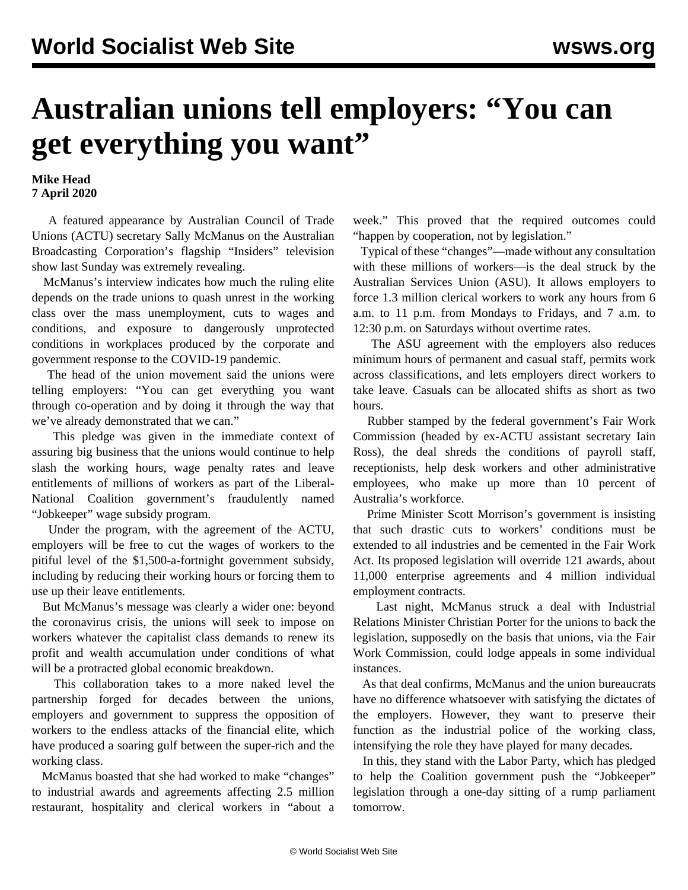## **Australian unions tell employers: "You can get everything you want"**

**Mike Head 7 April 2020**

 A featured appearance by Australian Council of Trade Unions (ACTU) secretary Sally McManus on the Australian Broadcasting Corporation's flagship "Insiders" television show last Sunday was extremely revealing.

 McManus's interview indicates how much the ruling elite depends on the trade unions to quash unrest in the working class over the mass unemployment, cuts to wages and conditions, and exposure to dangerously unprotected conditions in workplaces produced by the corporate and government response to the COVID-19 pandemic.

 The head of the union movement said the unions were telling employers: "You can get everything you want through co-operation and by doing it through the way that we've already demonstrated that we can."

 This pledge was given in the immediate context of assuring big business that the unions would continue to help slash the working hours, wage penalty rates and leave entitlements of millions of workers as part of the Liberal-National Coalition government's fraudulently named "Jobkeeper" wage subsidy program.

 Under the program, with the agreement of the ACTU, employers will be free to cut the wages of workers to the pitiful level of the \$1,500-a-fortnight government subsidy, including by reducing their working hours or forcing them to use up their leave entitlements.

 But McManus's message was clearly a wider one: beyond the coronavirus crisis, the unions will seek to impose on workers whatever the capitalist class demands to renew its profit and wealth accumulation under conditions of what will be a protracted global economic breakdown.

 This collaboration takes to a more naked level the partnership forged for decades between the unions, employers and government to suppress the opposition of workers to the endless attacks of the financial elite, which have produced a soaring gulf between the super-rich and the working class.

 McManus boasted that she had worked to make "changes" to industrial awards and agreements affecting 2.5 million restaurant, hospitality and clerical workers in "about a week." This proved that the required outcomes could "happen by cooperation, not by legislation."

 Typical of these "changes"—made without any consultation with these millions of workers—is the deal struck by the Australian Services Union (ASU). It allows employers to force 1.3 million clerical workers to work any hours from 6 a.m. to 11 p.m. from Mondays to Fridays, and 7 a.m. to 12:30 p.m. on Saturdays without overtime rates.

 The ASU agreement with the employers also reduces minimum hours of permanent and casual staff, permits work across classifications, and lets employers direct workers to take leave. Casuals can be allocated shifts as short as two hours.

 Rubber stamped by the federal government's Fair Work Commission (headed by ex-ACTU assistant secretary Iain Ross), the deal shreds the conditions of payroll staff, receptionists, help desk workers and other administrative employees, who make up more than 10 percent of Australia's workforce.

 Prime Minister Scott Morrison's government is insisting that such drastic cuts to workers' conditions must be extended to all industries and be cemented in the Fair Work Act. Its proposed legislation will override 121 awards, about 11,000 enterprise agreements and 4 million individual employment contracts.

 Last night, McManus struck a deal with Industrial Relations Minister Christian Porter for the unions to back the legislation, supposedly on the basis that unions, via the Fair Work Commission, could lodge appeals in some individual instances.

 As that deal confirms, McManus and the union bureaucrats have no difference whatsoever with satisfying the dictates of the employers. However, they want to preserve their function as the industrial police of the working class, intensifying the role they have played for many decades.

 In this, they stand with the Labor Party, which has pledged to help the Coalition government push the "Jobkeeper" legislation through a one-day sitting of a rump parliament tomorrow.